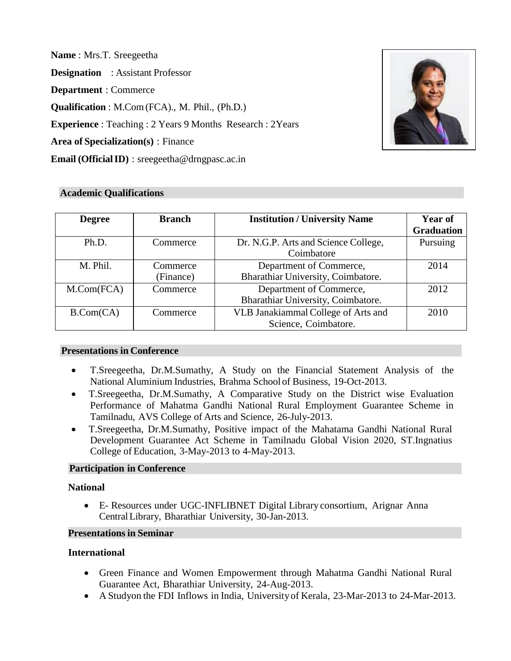**Name** : Mrs.T. Sreegeetha

**Designation** : Assistant Professor

**Department** : Commerce

**Qualification** : M.Com(FCA)., M. Phil., (Ph.D.)

**Experience** : Teaching : 2 Years 9 Months Research : 2Years

**Area of Specialization(s)** : Finance

**Email (OfficialID)** : [sreegeetha@drngpasc.ac.in](mailto:sreegeetha@drngpasc.ac.in)



### **Academic Qualifications**

| <b>Degree</b>       | <b>Branch</b>         | <b>Institution / University Name</b>                          | Year of<br><b>Graduation</b> |
|---------------------|-----------------------|---------------------------------------------------------------|------------------------------|
| Ph.D.               | Commerce              | Dr. N.G.P. Arts and Science College,<br>Coimbatore            | Pursuing                     |
| M. Phil.            | Commerce<br>(Finance) | Department of Commerce,<br>Bharathiar University, Coimbatore. | 2014                         |
| $M_{\cdot}Com(FCA)$ | Commerce              | Department of Commerce,<br>Bharathiar University, Coimbatore. | 2012                         |
| B.Com(CA)           | Commerce              | VLB Janakiammal College of Arts and<br>Science, Coimbatore.   | 2010                         |

### **Presentations in Conference**

- T.Sreegeetha, Dr.M.Sumathy, A Study on the Financial Statement Analysis of the National Aluminium Industries, Brahma School of Business, 19-Oct-2013.
- T.Sreegeetha, Dr.M.Sumathy, A Comparative Study on the District wise Evaluation Performance of Mahatma Gandhi National Rural Employment Guarantee Scheme in Tamilnadu, AVS College of Arts and Science, 26-July-2013.
- T.Sreegeetha, Dr.M.Sumathy, Positive impact of the Mahatama Gandhi National Rural Development Guarantee Act Scheme in Tamilnadu Global Vision 2020, ST.Ingnatius College of Education, 3-May-2013 to 4-May-2013.

# **Participation in Conference**

### **National**

• E- Resources under UGC-INFLIBNET Digital Library consortium, Arignar Anna CentralLibrary, Bharathiar University, 30-Jan-2013.

### **Presentationsin Seminar**

# **International**

- Green Finance and Women Empowerment through Mahatma Gandhi National Rural Guarantee Act, Bharathiar University, 24-Aug-2013.
- A Studyon the FDI Inflows in India, Universityof Kerala, 23-Mar-2013 to 24-Mar-2013.